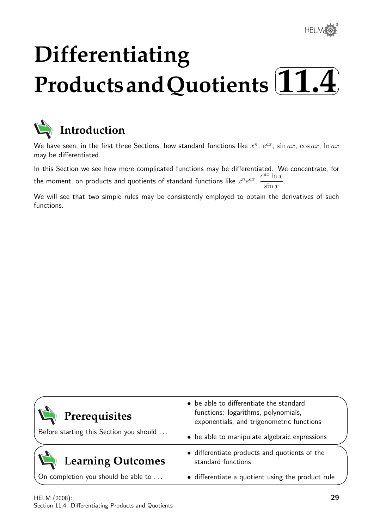®

# **Differentiating** Products and Quotients [11.4]  $\sqrt{2}$



## **Introduction**

We have seen, in the first three Sections, how standard functions like  $x^n$ ,  $e^{ax}$ ,  $\sin ax$ ,  $\cos ax$ ,  $\ln ax$ may be differentiated.

In this Section we see how more complicated functions may be differentiated. We concentrate, for the moment, on products and quotients of standard functions like  $x^n e^{ax}$ ,  $e^{ax}$  ln  $x$  $\sin x$ .

We will see that two simple rules may be consistently employed to obtain the derivatives of such functions.

| Prerequisites                           | • be able to differentiate the standard<br>functions: logarithms, polynomials,<br>exponentials, and trigonometric functions |  |
|-----------------------------------------|-----------------------------------------------------------------------------------------------------------------------------|--|
| Before starting this Section you should | • be able to manipulate algebraic expressions                                                                               |  |
| <b>Learning Outcomes</b>                | • differentiate products and quotients of the<br>standard functions                                                         |  |
| On completion you should be able to     | • differentiate a quotient using the product rule                                                                           |  |
|                                         |                                                                                                                             |  |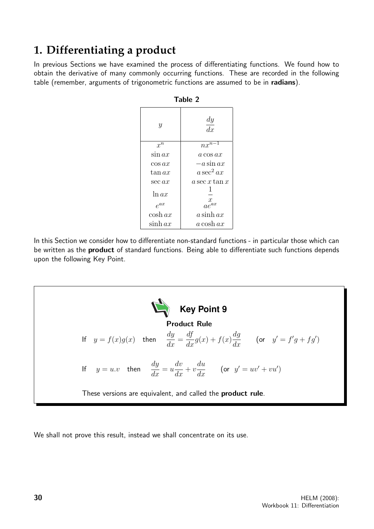## **1. Differentiating a product**

In previous Sections we have examined the process of differentiating functions. We found how to obtain the derivative of many commonly occurring functions. These are recorded in the following table (remember, arguments of trigonometric functions are assumed to be in radians).

| Table Z           |                     |
|-------------------|---------------------|
| Y                 | $\frac{dy}{dx}$     |
| $x^n$             | $nx^{n-1}$          |
| $\sin ax$         | $a \cos ax$         |
| $\cos ax$         | $-a$ sin $ax$       |
| $\tan ax$         | $a\sec^2 ax$        |
| $\sec ax$         | a sec x tan $x$     |
| ln ax<br>$e^{ax}$ | $\frac{x}{ae^{ax}}$ |
| $\cosh ax$        | $a \sinh ax$        |
| $\sinh ax$        | $a \cosh ax$        |

Table 2

In this Section we consider how to differentiate non-standard functions - in particular those which can be written as the **product** of standard functions. Being able to differentiate such functions depends upon the following Key Point.



We shall not prove this result, instead we shall concentrate on its use.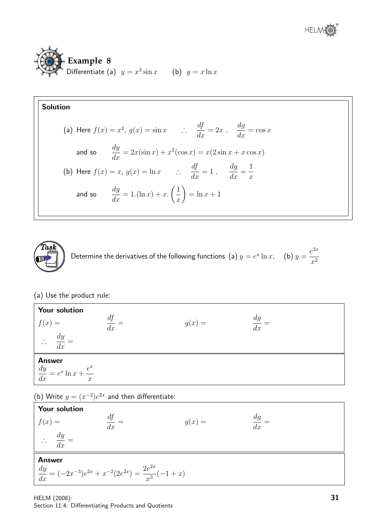





Determine the derivatives of the following functions (a)  $y = e^x \ln x$ , (b)  $y = e^x \ln x$  $e^{2x}$  $x^2$ 

#### (a) Use the product rule:

| <b>Your solution</b>                                                        |          |          |          |
|-----------------------------------------------------------------------------|----------|----------|----------|
| f(x)<br>$=$                                                                 | df<br>dx | $g(x) =$ | dq<br>dx |
| $\frac{dy}{y}$<br>$\mathcal{L}$<br>dx                                       |          |          |          |
| <b>Answer</b><br>$\frac{dy}{dx} = e^x \ln x +$<br>$e^x$<br>$\boldsymbol{x}$ |          |          |          |

(b) Write  $y = (x^{-2})e^{2x}$  and then differentiate:

Your solution  $f(x) = \frac{df}{dx} =$  $\frac{df}{dx} =$   $g(x) =$   $\frac{dg}{dx}$  $\frac{dg}{dx} =$  $\frac{dy}{dx}$  $\frac{dy}{dx} =$ Answer  $\frac{dy}{dx} = (-2x^{-3})e^{2x} + x^{-2}(2e^{2x}) = \frac{2e^{2x}}{x^3}$  $\frac{x^3}{x^3}(-1+x)$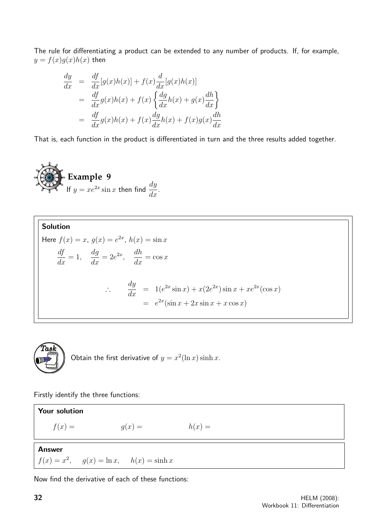The rule for differentiating a product can be extended to any number of products. If, for example,  $y = f(x)g(x)h(x)$  then

$$
\frac{dy}{dx} = \frac{df}{dx}[g(x)h(x)] + f(x)\frac{d}{dx}[g(x)h(x)]
$$
\n
$$
= \frac{df}{dx}g(x)h(x) + f(x)\left\{\frac{dg}{dx}h(x) + g(x)\frac{dh}{dx}\right\}
$$
\n
$$
= \frac{df}{dx}g(x)h(x) + f(x)\frac{dg}{dx}h(x) + f(x)g(x)\frac{dh}{dx}
$$

That is, each function in the product is differentiated in turn and the three results added together.







Obtain the first derivative of  $y = x^2(\ln x) \sinh x$ .

Firstly identify the three functions:

Your solution  $f(x) = g(x) = h(x) =$ Answer  $f(x) = x^2$  $g(x) = \ln x$ ,  $h(x) = \sinh x$ 

Now find the derivative of each of these functions: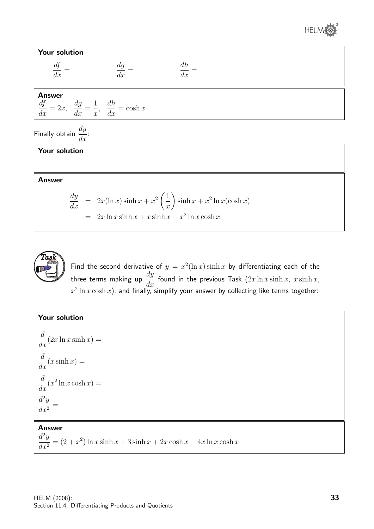

| Your solution                                                                                     |          |                         |  |  |
|---------------------------------------------------------------------------------------------------|----------|-------------------------|--|--|
| $\frac{df}{dx} =$                                                                                 | dg<br>dx | dh<br>$\overline{dx}$ = |  |  |
| <b>Answer</b><br>$\frac{df}{dx} = 2x$ , $\frac{dg}{dx} = \frac{1}{x}$ , $\frac{dh}{dx} = \cosh x$ |          |                         |  |  |
| Finally obtain $\frac{dy}{dx}$ :                                                                  |          |                         |  |  |
| Your solution                                                                                     |          |                         |  |  |

Answer

$$
\frac{dy}{dx} = 2x(\ln x)\sinh x + x^2\left(\frac{1}{x}\right)\sinh x + x^2\ln x(\cosh x)
$$
  
= 2x\ln x \sinh x + x \sinh x + x^2\ln x \cosh x



Find the second derivative of  $y = x^2(\ln x) \sinh x$  by differentiating each of the three terms making up  $\frac{dy}{dx}$  $\frac{dy}{dx}$  found in the previous Task  $(2x \ln x \sinh x, x \sinh x,$  $x^2\ln x\cosh x)$ , and finally, simplify your answer by collecting like terms together:

#### Your solution

$$
\frac{d}{dx}(2x \ln x \sinh x) =
$$
\n
$$
\frac{d}{dx}(x \sinh x) =
$$
\n
$$
\frac{d}{dx}(x^2 \ln x \cosh x) =
$$
\n
$$
\frac{d^2y}{dx^2} =
$$

#### Answer

 $d^2y$  $\frac{d^2y}{dx^2} = (2+x^2)\ln x \sinh x + 3\sinh x + 2x\cosh x + 4x\ln x \cosh x$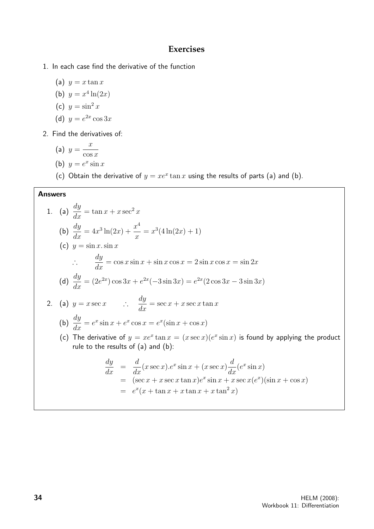#### **Exercises**

- 1. In each case find the derivative of the function
	- (a)  $y = x \tan x$
	- (b)  $y = x^4 \ln(2x)$
	- (c)  $y = \sin^2 x$
	- (d)  $y = e^{2x} \cos 3x$
- 2. Find the derivatives of:

(a) 
$$
y = \frac{x}{\cos x}
$$
  
(b)  $y = e^x \sin x$ 

(c) Obtain the derivative of  $y = xe^x \tan x$  using the results of parts (a) and (b).

#### Answers

1. (a) 
$$
\frac{dy}{dx} = \tan x + x \sec^2 x
$$
  
\n(b) 
$$
\frac{dy}{dx} = 4x^3 \ln(2x) + \frac{x^4}{x} = x^3(4\ln(2x) + 1)
$$
  
\n(c)  $y = \sin x \cdot \sin x$   
\n $\therefore \frac{dy}{dx} = \cos x \sin x + \sin x \cos x = 2 \sin x \cos x = \sin 2x$   
\n(d) 
$$
\frac{dy}{dx} = (2e^{2x}) \cos 3x + e^{2x}(-3 \sin 3x) = e^{2x}(2 \cos 3x - 3 \sin 3x)
$$
  
\n2. (a)  $y = x \sec x$   $\therefore \frac{dy}{dx} = \sec x + x \sec x \tan x$   
\n(b) 
$$
\frac{dy}{dx} = e^x \sin x + e^x \cos x = e^x(\sin x + \cos x)
$$
  
\n(c) The derivative of  $y = xe^x \tan x = (x \sec x)(e^x \sin x)$  is found by applying the product rule to the results of (a) and (b):  
\n
$$
\frac{dy}{dx} = \frac{d}{dx}(x \sec x).e^x \sin x + (x \sec x) \frac{d}{dx}(e^x \sin x)
$$
  
\n $= (\sec x + x \sec x \tan x)e^x \sin x + x \sec x(e^x)(\sin x + \cos x)$   
\n $= e^x(x + \tan x + x \tan x + x \tan^2 x)$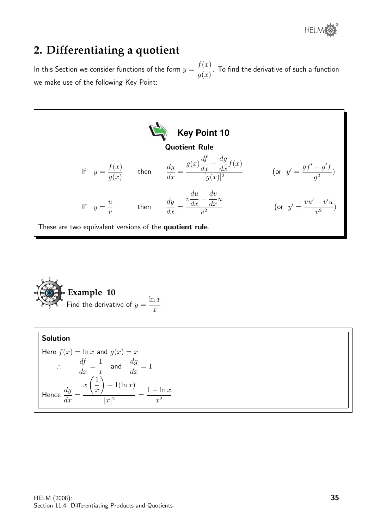® **HELM** 

## **2. Differentiating a quotient**

In this Section we consider functions of the form  $y=\frac{1}{2}$  $f(x)$  $g(x)$ . To find the derivative of such a function we make use of the following Key Point:



Example 10  
Find the derivative of 
$$
y = \frac{\ln x}{x}
$$

Solution Here  $f(x) = \ln x$  and  $g(x) = x$ ∴ df  $\frac{dy}{dx} =$ 1  $\overline{x}$ and  $\frac{dg}{dx}$  $\frac{dy}{dx} = 1$ Hence  $\frac{dy}{dx}$  $\frac{dy}{dx} =$  $\boldsymbol{x}$  $\sqrt{1}$  $\overline{x}$  $\setminus$  $-1(\ln x)$  $\frac{1}{[x]^2}$  =  $1 - \ln x$  $x^2$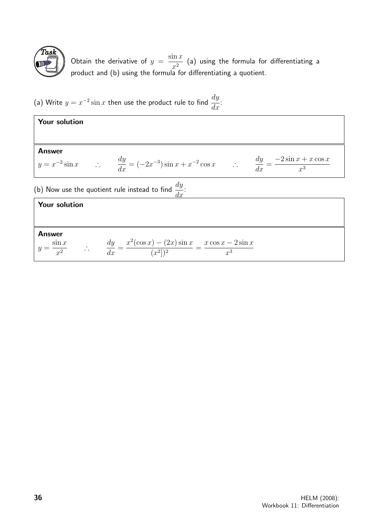

Obtain the derivative of  $y =$  $\sin x$  $\frac{1}{x^2}$  (a) using the formula for differentiating a product and (b) using the formula for differentiating a quotient.

(a) Write  $y = x^{-2} \sin x$  then use the product rule to find  $\frac{dy}{dx}$  $\frac{dy}{dx}$ :

| Your solution        |                                                                                                                                  |
|----------------------|----------------------------------------------------------------------------------------------------------------------------------|
|                      |                                                                                                                                  |
| <b>Answer</b>        |                                                                                                                                  |
|                      | $y = x^{-2} \sin x$ : $\frac{dy}{dx} = (-2x^{-3}) \sin x + x^{-2} \cos x$ : $\frac{dy}{dx} = \frac{-2 \sin x + x \cos x}{x^3}$   |
|                      | (b) Now use the quotient rule instead to find $\frac{dy}{dx}$ .                                                                  |
| <b>Your solution</b> |                                                                                                                                  |
|                      |                                                                                                                                  |
| <b>Answer</b>        |                                                                                                                                  |
|                      | $y = \frac{\sin x}{x^2}$ $\therefore$ $\frac{dy}{dx} = \frac{x^2(\cos x) - (2x)\sin x}{(x^2)^2} = \frac{x\cos x - 2\sin x}{x^3}$ |